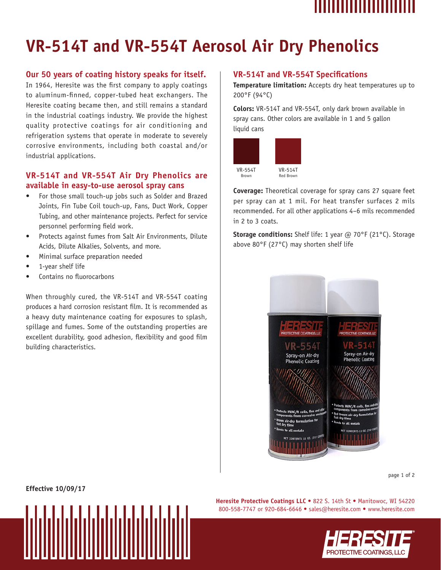

# **VR-514T and VR-554T Aerosol Air Dry Phenolics**

## **Our 50 years of coating history speaks for itself.**

In 1964, Heresite was the first company to apply coatings to aluminum-finned, copper-tubed heat exchangers. The Heresite coating became then, and still remains a standard in the industrial coatings industry. We provide the highest quality protective coatings for air conditioning and refrigeration systems that operate in moderate to severely corrosive environments, including both coastal and/or industrial applications.

## **VR-514T and VR-554T Air Dry Phenolics are available in easy-to-use aerosol spray cans**

- For those small touch-up jobs such as Solder and Brazed Joints, Fin Tube Coil touch-up, Fans, Duct Work, Copper Tubing, and other maintenance projects. Perfect for service personnel performing field work.
- Protects against fumes from Salt Air Environments, Dilute Acids, Dilute Alkalies, Solvents, and more.
- Minimal surface preparation needed
- 1-year shelf life
- Contains no fluorocarbons

When throughly cured, the VR-514T and VR-554T coating produces a hard corrosion resistant film. It is recommended as a heavy duty maintenance coating for exposures to splash, spillage and fumes. Some of the outstanding properties are excellent durability, good adhesion, flexibility and good film building characteristics.

### **VR-514T and VR-554T Specifications**

**Temperature limitation:** Accepts dry heat temperatures up to 200°F (94°C)

**Colors:** VR-514T and VR-554T, only dark brown available in spray cans. Other colors are available in 1 and 5 gallon liquid cans



**Coverage:** Theoretical coverage for spray cans 27 square feet per spray can at 1 mil. For heat transfer surfaces 2 mils recommended. For all other applications 4–6 mils recommended in 2 to 3 coats.

**Storage conditions:** Shelf life: 1 year @ 70°F (21°C). Storage above 80°F (27°C) may shorten shelf life



page 1 of 2

**Effective 10/09/17**

**Heresite Protective Coatings LLC** • 822 S. 14th St • Manitowoc, WI 54220 800-558-7747 or 920-684-6646 • sales@heresite.com • www.heresite.com